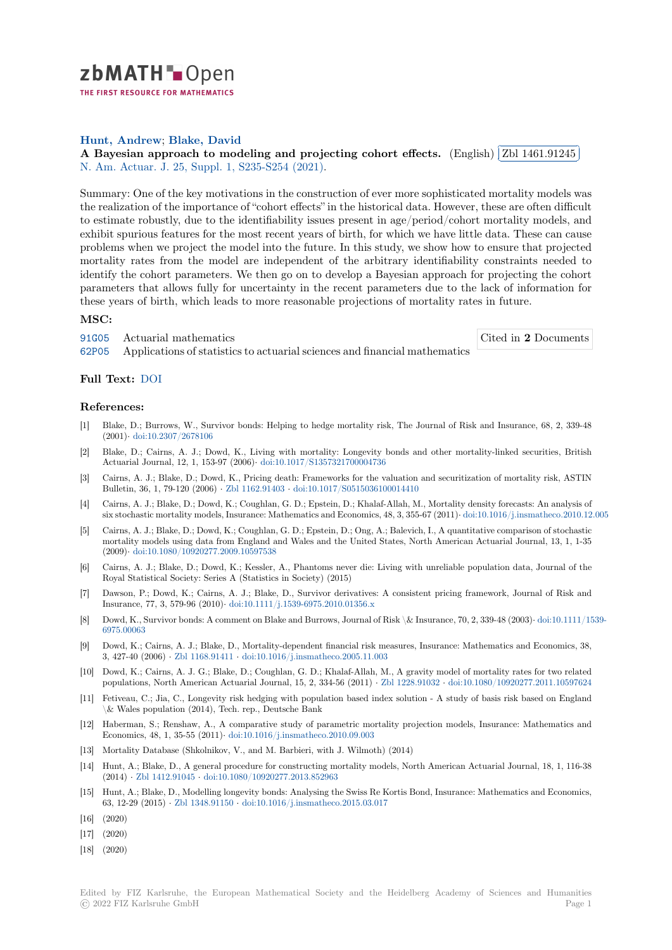

THE FIRST RESOURCE FOR MATHEMATICS

## **Hunt, Andrew**; **Blake, David**

Hunt, [A](https://zbmath.org/)ndrew; Blake, Bavid<br>A Bayesian approach to modeling and projecting cohort effects. (English) ✂ Zbl 1461.91245 i. ✁ N. Am. Actuar. J. 25, Suppl. 1, S235-S254 (2021).

[Summary: One o](https://zbmath.org/authors/?q=ai:hunt.andrew)f [the key motivat](https://zbmath.org/authors/?q=ai:blake.david)ions in the construction of ever more sophisticated mortality models was [the realization of the importance of "cohort effects" in the historical data. H](https://zbmath.org/1461.91245)owever, the[se are often difficu](https://zbmath.org/1461.91245)lt [to estimate robust](https://zbmath.org/journals/?q=se:3081)[ly, due to the identifiability issu](https://zbmath.org/?q=in:462273)es present in age/period/cohort mortality models, and exhibit spurious features for the most recent years of birth, for which we have little data. These can cause problems when we project the model into the future. In this study, we show how to ensure that projected mortality rates from the model are independent of the arbitrary identifiability constraints needed to identify the cohort parameters. We then go on to develop a Bayesian approach for projecting the cohort parameters that allows fully for uncertainty in the recent parameters due to the lack of information for these years of birth, which leads to more reasonable projections of mortality rates in future.

## **MSC:**

91G05 Actuarial mathematics 62P05 Applications of statistics to actuarial sciences and financial mathematics Cited in **2** Documents

## **Full Text:** DOI

## **[Refer](https://zbmath.org/classification/?q=cc:62P05)ences:**

- [1] Blake, D.; Burrows, W., Survivor bonds: Helping to hedge mortality risk, The Journal of Risk and Insurance, 68, 2, 339-48 (2001)*·* d[oi:10.2](https://dx.doi.org/10.1080/10920277.2019.1649157)307/2678106
- [2] Blake, D.; Cairns, A. J.; Dowd, K., Living with mortality: Longevity bonds and other mortality-linked securities, British Actuarial Journal, 12, 1, 153-97 (2006)*·* doi:10.1017/S1357321700004736
- [3] Cairns, A. J.; Blake, D.; Dowd, K., Pricing death: Frameworks for the valuation and securitization of mortality risk, ASTIN Bulleti[n, 36, 1, 79-120 \(2006](https://dx.doi.org/10.2307/2678106)) *·* Zbl 1162.91403 *·* doi:10.1017/S0515036100014410
- [4] Cairns, A. J.; Blake, D.; Dowd, K.; Coughlan, G. D.; Epstein, D.; Khalaf-Allah, M., Mortality density forecasts: An analysis of six stochastic mortality models, Insuranc[e: Mathematics and Economics, 4](https://dx.doi.org/10.1017/S1357321700004736)8, 3, 355-67 (2011)*·* doi:10.1016/j.insmatheco.2010.12.005
- [5] Cairns, A. J.; Blake, D.; Dowd, K.; Coughlan, G. D.; Epstein, D.; Ong, A.; Balevich, I., A quantitative comparison of stochastic mortality models using data fr[om England and](https://zbmath.org/1162.91403) [Wales and the United States, No](https://dx.doi.org/10.1017/S0515036100014410)rth American Actuarial Journal, 13, 1, 1-35 (2009)*·* doi:10.1080/10920277.2009.10597538
- [6] Cairns, A. J.; Blake, D.; Dowd, K.; Kessler, A., Phantoms never die: Living with unreliabl[e population data, Journal of the](https://dx.doi.org/10.1016/j.insmatheco.2010.12.005) Royal Statistical Society: Series A (Statistics in Society) (2015)
- [7] Dawson, P.; Dowd, K.; Cairns, A. J.; Blake, D., Survivor derivatives: A consistent pricing framework, Journal of Risk and Insuran[ce, 77, 3, 579-96 \(2010\)](https://dx.doi.org/10.1080/10920277.2009.10597538)*·* doi:10.1111/j.1539-6975.2010.01356.x
- [8] Dowd, K., Survivor bonds: A comment on Blake and Burrows, Journal of Risk \& Insurance, 70, 2, 339-48 (2003)*·* doi:10.1111/1539- 6975.00063
- [9] Dowd, K.; Cairns, A. J.; Blake, D., Mortality-dependent financial risk measures, Insurance: Mathematics and Economics, 38, 3, 427-40 (2006) *·* Zbl 1168.91411 *·* [doi:10.1016/j.insmatheco.2005.11.0](https://dx.doi.org/10.1111/j.1539-6975.2010.01356.x)03
- [10] Dowd, K.; Cairns, A. J. G.; Blake, D.; Coughlan, G. D.; Khalaf-Allah, M., A gravity model of mortality ratesf[or two related](https://dx.doi.org/10.1111/1539-6975.00063) [populations](https://dx.doi.org/10.1111/1539-6975.00063), North American Actuarial Journal, 15, 2, 334-56 (2011) *·* Zbl 1228.91032 *·* doi:10.1080/10920277.2011.10597624
- [11] Fetiveau, C.; Jia, C., Longevity risk hedging with population based index solution A study of basis risk based on England \& Wales populat[ion \(2014\), Tech](https://zbmath.org/1168.91411). [rep., Deutsche Bank](https://dx.doi.org/10.1016/j.insmatheco.2005.11.003)
- [12] Haberman, S.; Renshaw, A., A comparative study of parametric mortality projection models, Insurance: Mathematics and Economics, 48, 1, 35-55 (2011)*·* doi:10.1016/j.insmatheco.2010.09.003
- [13] Mortality Database (Shkolnikov, V., and M. Barbieri, with J. Wilmoth) (2014)
- [14] Hunt, A.; Blake, D., A general procedure for constructing mortality models, North American Actuarial Journal, 18, 1, 116-38 (2014) *·* Zbl 1412.91045 *·* doi:10.1080/10920277.2013.852963
- [15] Hunt, A.; Blake, D., Modellingl[ongevity bonds: Analysing the Swiss R](https://dx.doi.org/10.1016/j.insmatheco.2010.09.003)e Kortis Bond, Insurance: Mathematics and Economics, 63, 12-29 (2015) *·* Zbl 1348.91150 *·* doi:10.1016/j.insmatheco.2015.03.017
- [16] (2020)
- [17] (2020)
- [18] (2020)